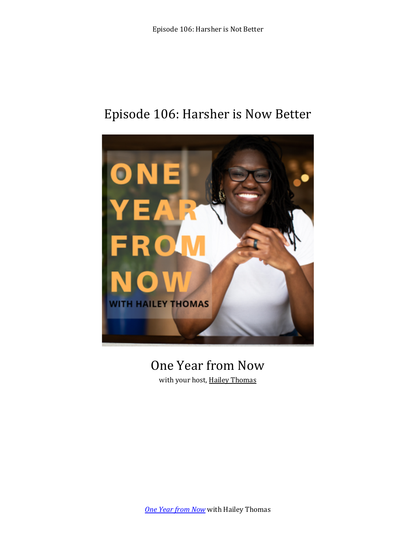## Episode 106: Harsher is Now Better



# One Year from Now

with your host, Hailey Thomas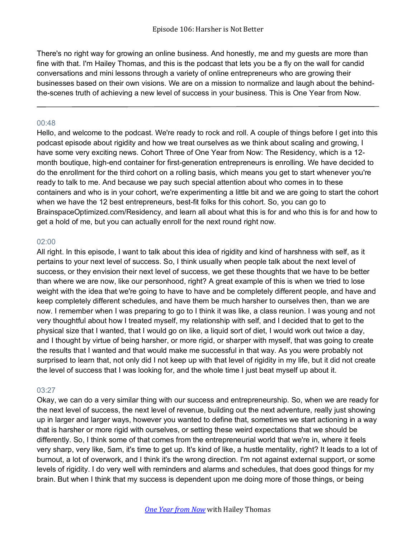There's no right way for growing an online business. And honestly, me and my guests are more than fine with that. I'm Hailey Thomas, and this is the podcast that lets you be a fly on the wall for candid conversations and mini lessons through a variety of online entrepreneurs who are growing their businesses based on their own visions. We are on a mission to normalize and laugh about the behindthe-scenes truth of achieving a new level of success in your business. This is One Year from Now.

#### 00:48

Hello, and welcome to the podcast. We're ready to rock and roll. A couple of things before I get into this podcast episode about rigidity and how we treat ourselves as we think about scaling and growing, I have some very exciting news. Cohort Three of One Year from Now: The Residency, which is a 12 month boutique, high-end container for first-generation entrepreneurs is enrolling. We have decided to do the enrollment for the third cohort on a rolling basis, which means you get to start whenever you're ready to talk to me. And because we pay such special attention about who comes in to these containers and who is in your cohort, we're experimenting a little bit and we are going to start the cohort when we have the 12 best entrepreneurs, best-fit folks for this cohort. So, you can go to BrainspaceOptimized.com/Residency, and learn all about what this is for and who this is for and how to get a hold of me, but you can actually enroll for the next round right now.

#### 02:00

All right. In this episode, I want to talk about this idea of rigidity and kind of harshness with self, as it pertains to your next level of success. So, I think usually when people talk about the next level of success, or they envision their next level of success, we get these thoughts that we have to be better than where we are now, like our personhood, right? A great example of this is when we tried to lose weight with the idea that we're going to have to have and be completely different people, and have and keep completely different schedules, and have them be much harsher to ourselves then, than we are now. I remember when I was preparing to go to I think it was like, a class reunion. I was young and not very thoughtful about how I treated myself, my relationship with self, and I decided that to get to the physical size that I wanted, that I would go on like, a liquid sort of diet, I would work out twice a day, and I thought by virtue of being harsher, or more rigid, or sharper with myself, that was going to create the results that I wanted and that would make me successful in that way. As you were probably not surprised to learn that, not only did I not keep up with that level of rigidity in my life, but it did not create the level of success that I was looking for, and the whole time I just beat myself up about it.

#### 03:27

Okay, we can do a very similar thing with our success and entrepreneurship. So, when we are ready for the next level of success, the next level of revenue, building out the next adventure, really just showing up in larger and larger ways, however you wanted to define that, sometimes we start actioning in a way that is harsher or more rigid with ourselves, or setting these weird expectations that we should be differently. So, I think some of that comes from the entrepreneurial world that we're in, where it feels very sharp, very like, 5am, it's time to get up. It's kind of like, a hustle mentality, right? It leads to a lot of burnout, a lot of overwork, and I think it's the wrong direction. I'm not against external support, or some levels of rigidity. I do very well with reminders and alarms and schedules, that does good things for my brain. But when I think that my success is dependent upon me doing more of those things, or being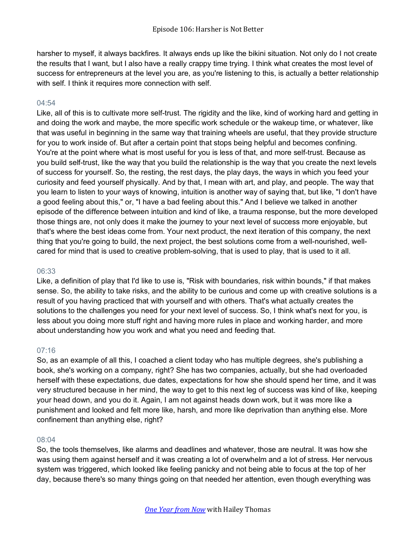harsher to myself, it always backfires. It always ends up like the bikini situation. Not only do I not create the results that I want, but I also have a really crappy time trying. I think what creates the most level of success for entrepreneurs at the level you are, as you're listening to this, is actually a better relationship with self. I think it requires more connection with self.

#### $04:54$

Like, all of this is to cultivate more self-trust. The rigidity and the like, kind of working hard and getting in and doing the work and maybe, the more specific work schedule or the wakeup time, or whatever, like that was useful in beginning in the same way that training wheels are useful, that they provide structure for you to work inside of. But after a certain point that stops being helpful and becomes confining. You're at the point where what is most useful for you is less of that, and more self-trust. Because as you build self-trust, like the way that you build the relationship is the way that you create the next levels of success for yourself. So, the resting, the rest days, the play days, the ways in which you feed your curiosity and feed yourself physically. And by that, I mean with art, and play, and people. The way that you learn to listen to your ways of knowing, intuition is another way of saying that, but like, "I don't have a good feeling about this," or, "I have a bad feeling about this." And I believe we talked in another episode of the difference between intuition and kind of like, a trauma response, but the more developed those things are, not only does it make the journey to your next level of success more enjoyable, but that's where the best ideas come from. Your next product, the next iteration of this company, the next thing that you're going to build, the next project, the best solutions come from a well-nourished, wellcared for mind that is used to creative problem-solving, that is used to play, that is used to it all.

#### 06:33

Like, a definition of play that I'd like to use is, "Risk with boundaries, risk within bounds," if that makes sense. So, the ability to take risks, and the ability to be curious and come up with creative solutions is a result of you having practiced that with yourself and with others. That's what actually creates the solutions to the challenges you need for your next level of success. So, I think what's next for you, is less about you doing more stuff right and having more rules in place and working harder, and more about understanding how you work and what you need and feeding that.

### 07:16

So, as an example of all this, I coached a client today who has multiple degrees, she's publishing a book, she's working on a company, right? She has two companies, actually, but she had overloaded herself with these expectations, due dates, expectations for how she should spend her time, and it was very structured because in her mind, the way to get to this next leg of success was kind of like, keeping your head down, and you do it. Again, I am not against heads down work, but it was more like a punishment and looked and felt more like, harsh, and more like deprivation than anything else. More confinement than anything else, right?

#### 08:04

So, the tools themselves, like alarms and deadlines and whatever, those are neutral. It was how she was using them against herself and it was creating a lot of overwhelm and a lot of stress. Her nervous system was triggered, which looked like feeling panicky and not being able to focus at the top of her day, because there's so many things going on that needed her attention, even though everything was